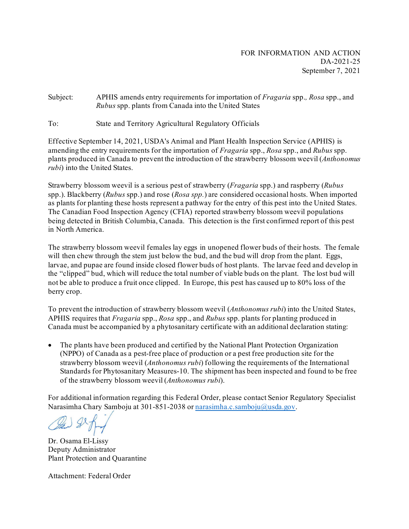Subject: APHIS amends entry requirements for importation of *Fragaria* spp.*, Rosa* spp., and *Rubus* spp. plants from Canada into the United States

To: State and Territory Agricultural Regulatory Officials

Effective September 14, 2021, USDA's Animal and Plant Health Inspection Service (APHIS) is amending the entry requirements for the importation of *Fragaria* spp., *Rosa* spp., and *Rubus* spp. plants produced in Canada to prevent the introduction of the strawberry blossom weevil (*Anthonomus rubi*) into the United States.

Strawberry blossom weevil is a serious pest of strawberry (*Fragaria* spp.) and raspberry (*Rubus*  spp.). Blackberry (*Rubus* spp.) and rose (*Rosa spp.*) are considered occasional hosts. When imported as plants for planting these hosts represent a pathway for the entry of this pest into the United States. The Canadian Food Inspection Agency (CFIA) reported strawberry blossom weevil populations being detected in British Columbia, Canada. This detection is the first confirmed report of this pest in North America.

The strawberry blossom weevil females lay eggs in unopened flower buds of their hosts. The female will then chew through the stem just below the bud, and the bud will drop from the plant. Eggs, larvae, and pupae are found inside closed flower buds of host plants. The larvae feed and develop in the "clipped" bud, which will reduce the total number of viable buds on the plant. The lost bud will not be able to produce a fruit once clipped. In Europe, this pest has caused up to 80% loss of the berry crop.

To prevent the introduction of strawberry blossom weevil (*Anthonomus rubi*) into the United States, APHIS requires that *Fragaria* spp., *Rosa* spp., and *Rubus* spp. plants for planting produced in Canada must be accompanied by a phytosanitary certificate with an additional declaration stating:

• The plants have been produced and certified by the National Plant Protection Organization (NPPO) of Canada as a pest-free place of production or a pest free production site for the strawberry blossom weevil (*Anthonomus rubi*) following the requirements of the International Standards for Phytosanitary Measures-10. The shipment has been inspected and found to be free of the strawberry blossom weevil (*Anthonomus rubi*).

For additional information regarding this Federal Order, please contact Senior Regulatory Specialist Narasimha Chary Samboju at 301-851-2038 o[r narasimha.c.samboju@usda.gov](mailto:narasimha.c.samboju@usda.gov).

Dr. Osama El-Lissy Deputy Administrator Plant Protection and Quarantine

Attachment: Federal Order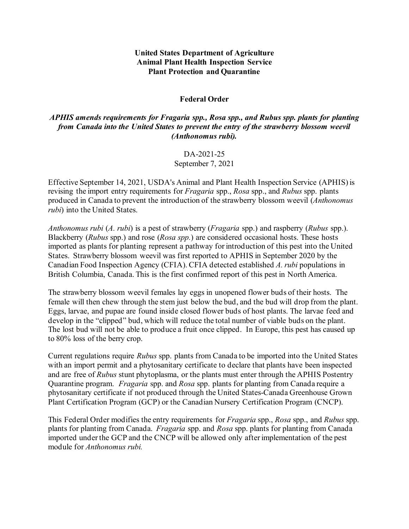## **United States Department of Agriculture Animal Plant Health Inspection Service Plant Protection and Quarantine**

## **Federal Order**

## *APHIS amends requirements for Fragaria spp., Rosa spp., and Rubus spp. plants for planting from Canada into the United States to prevent the entry of the strawberry blossom weevil (Anthonomus rubi).*

## DA-2021-25

September 7, 2021

Effective September 14, 2021, USDA's Animal and Plant Health Inspection Service (APHIS) is revising the import entry requirements for *Fragaria* spp., *Rosa* spp., and *Rubus* spp. plants produced in Canada to prevent the introduction of the strawberry blossom weevil (*Anthonomus rubi*) into the United States.

*Anthonomus rubi* (*A. rubi*) is a pest of strawberry (*Fragaria* spp.) and raspberry (*Rubus* spp.). Blackberry (*Rubus* spp.) and rose (*Rosa spp.*) are considered occasional hosts. These hosts imported as plants for planting represent a pathway for introduction of this pest into the United States. Strawberry blossom weevil was first reported to APHIS in September 2020 by the Canadian Food Inspection Agency (CFIA). CFIA detected established *A. rubi* populations in British Columbia, Canada. This is the first confirmed report of this pest in North America.

The strawberry blossom weevil females lay eggs in unopened flower buds of their hosts. The female will then chew through the stem just below the bud, and the bud will drop from the plant. Eggs, larvae, and pupae are found inside closed flower buds of host plants. The larvae feed and develop in the "clipped" bud, which will reduce the total number of viable buds on the plant. The lost bud will not be able to produce a fruit once clipped. In Europe, this pest has caused up to 80% loss of the berry crop.

Current regulations require *Rubus* spp. plants from Canada to be imported into the United States with an import permit and a phytosanitary certificate to declare that plants have been inspected and are free of *Rubus* stunt phytoplasma, or the plants must enter through the APHIS Postentry Quarantine program. *Fragaria* spp. and *Rosa* spp. plants for planting from Canada require a phytosanitary certificate if not produced through the United States-Canada Greenhouse Grown Plant Certification Program (GCP) or the Canadian Nursery Certification Program (CNCP).

This Federal Order modifies the entry requirements for *Fragaria* spp., *Rosa* spp., and *Rubus* spp. plants for planting from Canada. *Fragaria* spp. and *Rosa* spp. plants for planting from Canada imported under the GCP and the CNCP will be allowed only after implementation of the pest module for *Anthonomus rubi.*